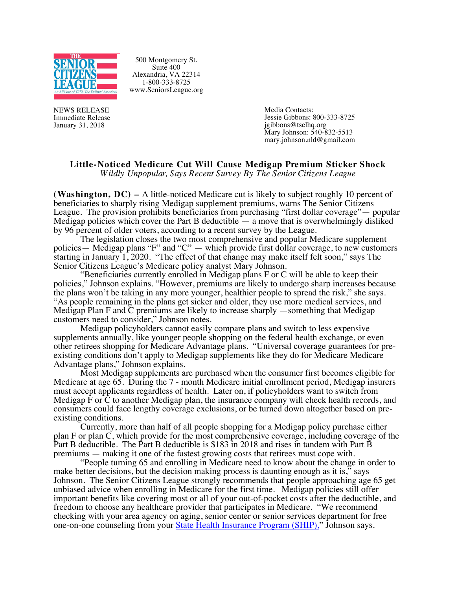

500 Montgomery St. Suite 400 Alexandria, VA 22314 1-800-333-8725 www.SeniorsLeague.org

NEWS RELEASE Immediate Release January 31, 2018

Media Contacts: Jessie Gibbons: 800-333-8725<br>jgibbons@tsclhq.org  $\text{Mary Johnson: } 540-832-5513$ mary.johnson.nld@gmail.com

## **Little-Noticed Medicare Cut Will Cause Medigap Premium Sticker Shock**

*Wildly Unpopular, Says Recent Survey By The Senior Citizens League*

**(Washington, DC) –** A little-noticed Medicare cut is likely to subject roughly 10 percent of beneficiaries to sharply rising Medigap supplement premiums, warns The Senior Citizens League. The provision prohibits beneficiaries from purchasing "first dollar coverage"— popular Medigap policies which cover the Part B deductible  $-$  a move that is overwhelmingly disliked by 96 percent of older voters, according to a recent survey by the League.

The legislation closes the two most comprehensive and popular Medicare supplement policies — Medigap plans "F" and "C" — which provide first dollar coverage, to new customers starting in January 1, 2020. "The effect of that change may make itself felt soon," says The Senior Citizens League's Medicare policy analyst Mary Johnson.

"Beneficiaries currently enrolled in Medigap plans F or C will be able to keep their policies," Johnson explains. "However, premiums are likely to undergo sharp increases because the plans won't be taking in any more younger, healthier people to spread the risk," she says. "As people remaining in the plans get sicker and older, they use more medical services, and Medigap Plan F and C premiums are likely to increase sharply —something that Medigap customers need to consider," Johnson notes.

Medigap policyholders cannot easily compare plans and switch to less expensive supplements annually, like younger people shopping on the federal health exchange, or even other retirees shopping for Medicare Advantage plans. "Universal coverage guarantees for pre- existing conditions don't apply to Medigap supplements like they do for Medicare Medicare Advantage plans," Johnson explains.

Most Medigap supplements are purchased when the consumer first becomes eligible for Medicare at age 65. During the 7 - month Medicare initial enrollment period, Medigap insurers must accept applicants regardless of health. Later on, if policyholders want to switch from Medigap F or C to another Medigap plan, the insurance company will check health records, and consumers could face lengthy coverage exclusions, or be turned down altogether based on pre- existing conditions.

Currently, more than half of all people shopping for a Medigap policy purchase either plan F or plan C, which provide for the most comprehensive coverage, including coverage of the Part B deductible. The Part B deductible is \$183 in 2018 and rises in tandem with Part B premiums — making it one of the fastest growing costs that retirees must cope with.

"People turning 65 and enrolling in Medicare need to know about the change in order to make better decisions, but the decision making process is daunting enough as it is," says Johnson. The Senior Citizens League strongly recommends that people approaching age 65 get unbiased advice when enrolling in Medicare for the first time. Medigap policies still offer important benefits like covering most or all of your out-of-pocket costs after the deductible, and freedom to choose any healthcare provider that participates in Medicare. "We recommend checking with your area agency on aging, senior center or senior services department for free one-on-one counseling from your State Health Insurance Program (SHIP)," Johnson says.